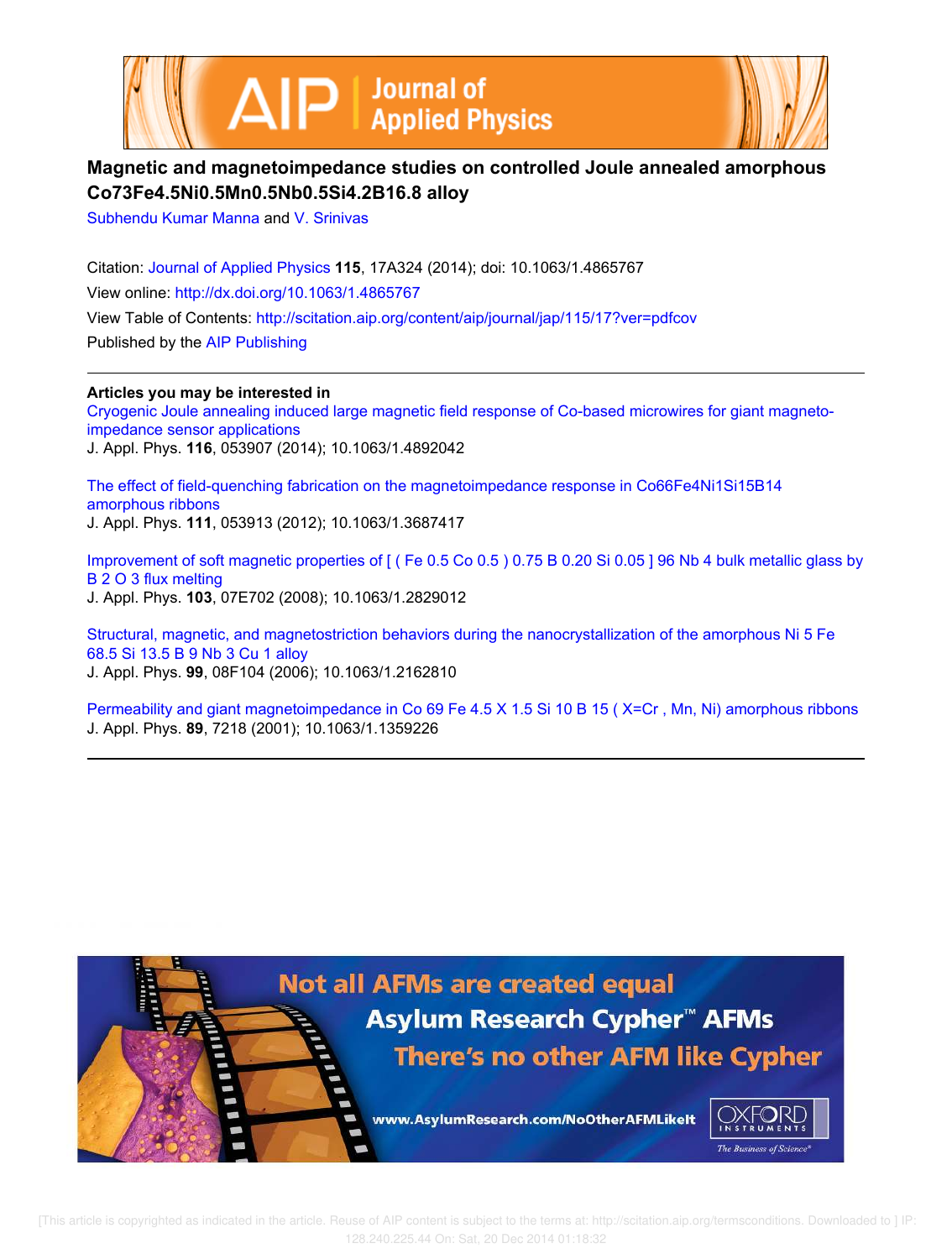



# **Magnetic and magnetoimpedance studies on controlled Joule annealed amorphous Co73Fe4.5Ni0.5Mn0.5Nb0.5Si4.2B16.8 alloy**

Subhendu Kumar Manna and V. Srinivas

Citation: Journal of Applied Physics **115**, 17A324 (2014); doi: 10.1063/1.4865767 View online: http://dx.doi.org/10.1063/1.4865767 View Table of Contents: http://scitation.aip.org/content/aip/journal/jap/115/17?ver=pdfcov Published by the AIP Publishing

**Articles you may be interested in** Cryogenic Joule annealing induced large magnetic field response of Co-based microwires for giant magnetoimpedance sensor applications J. Appl. Phys. **116**, 053907 (2014); 10.1063/1.4892042

The effect of field-quenching fabrication on the magnetoimpedance response in Co66Fe4Ni1Si15B14 amorphous ribbons J. Appl. Phys. **111**, 053913 (2012); 10.1063/1.3687417

Improvement of soft magnetic properties of [ ( Fe 0.5 Co 0.5 ) 0.75 B 0.20 Si 0.05 ] 96 Nb 4 bulk metallic glass by B 2 O 3 flux melting J. Appl. Phys. **103**, 07E702 (2008); 10.1063/1.2829012

Structural, magnetic, and magnetostriction behaviors during the nanocrystallization of the amorphous Ni 5 Fe 68.5 Si 13.5 B 9 Nb 3 Cu 1 alloy J. Appl. Phys. **99**, 08F104 (2006); 10.1063/1.2162810

Permeability and giant magnetoimpedance in Co 69 Fe 4.5 X 1.5 Si 10 B 15 ( X=Cr , Mn, Ni) amorphous ribbons J. Appl. Phys. **89**, 7218 (2001); 10.1063/1.1359226

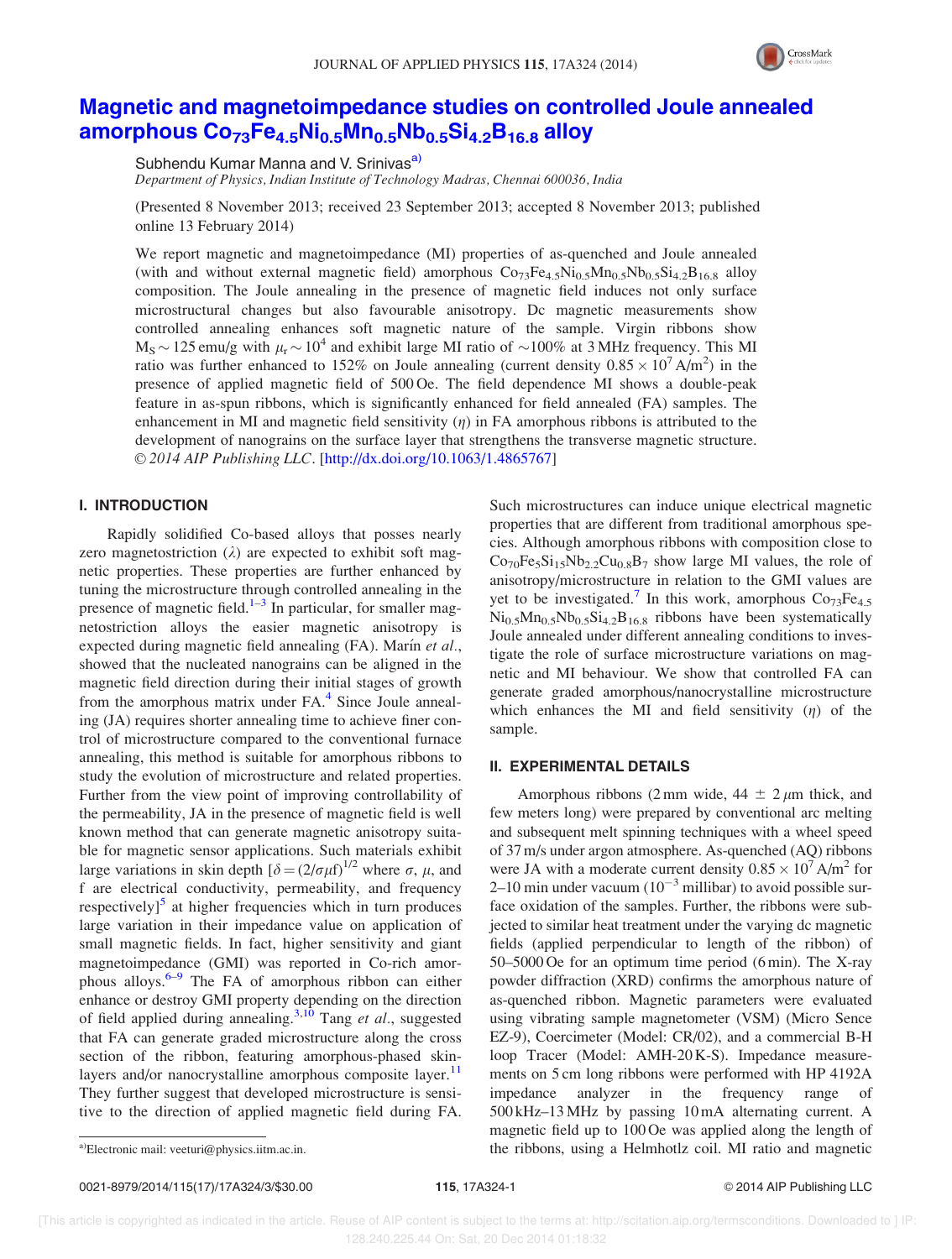

## Magnetic and magnetoimpedance studies on controlled Joule annealed amorphous  $Co_{73}Fe_{4.5}Ni_{0.5}Mn_{0.5}Nb_{0.5}Si_{4.2}B_{16.8}$  alloy

Subhendu Kumar Manna and V. Srinivas<sup>a)</sup> Department of Physics, Indian Institute of Technology Madras, Chennai 600036, India

(Presented 8 November 2013; received 23 September 2013; accepted 8 November 2013; published online 13 February 2014)

We report magnetic and magnetoimpedance (MI) properties of as-quenched and Joule annealed (with and without external magnetic field) amorphous  $Co_{73}Fe_{4.5}Ni_{0.5}Mn_{0.5}Ni_{0.5}Si_{4.2}B_{16.8}$  alloy composition. The Joule annealing in the presence of magnetic field induces not only surface microstructural changes but also favourable anisotropy. Dc magnetic measurements show controlled annealing enhances soft magnetic nature of the sample. Virgin ribbons show  $M_S \sim 125$  emu/g with  $\mu_r \sim 10^4$  and exhibit large MI ratio of  $\sim 100\%$  at 3 MHz frequency. This MI ratio was further enhanced to 152% on Joule annealing (current density  $0.85 \times 10^7$  A/m<sup>2</sup>) in the presence of applied magnetic field of 500 Oe. The field dependence MI shows a double-peak feature in as-spun ribbons, which is significantly enhanced for field annealed (FA) samples. The enhancement in MI and magnetic field sensitivity  $(\eta)$  in FA amorphous ribbons is attributed to the development of nanograins on the surface layer that strengthens the transverse magnetic structure. © 2014 AIP Publishing LLC. [http://dx.doi.org/10.1063/1.4865767]

### I. INTRODUCTION

Rapidly solidified Co-based alloys that posses nearly zero magnetostriction  $(\lambda)$  are expected to exhibit soft magnetic properties. These properties are further enhanced by tuning the microstructure through controlled annealing in the presence of magnetic field. $1-3$  In particular, for smaller magnetostriction alloys the easier magnetic anisotropy is expected during magnetic field annealing  $(FA)$ . Marín et al., showed that the nucleated nanograins can be aligned in the magnetic field direction during their initial stages of growth from the amorphous matrix under FA.<sup>4</sup> Since Joule annealing (JA) requires shorter annealing time to achieve finer control of microstructure compared to the conventional furnace annealing, this method is suitable for amorphous ribbons to study the evolution of microstructure and related properties. Further from the view point of improving controllability of the permeability, JA in the presence of magnetic field is well known method that can generate magnetic anisotropy suitable for magnetic sensor applications. Such materials exhibit large variations in skin depth  $\delta = (2/\sigma \mu f)^{1/2}$  where  $\sigma$ ,  $\mu$ , and f are electrical conductivity, permeability, and frequency respectively]<sup>5</sup> at higher frequencies which in turn produces large variation in their impedance value on application of small magnetic fields. In fact, higher sensitivity and giant magnetoimpedance (GMI) was reported in Co-rich amorphous alloys.<sup>6–9</sup> The FA of amorphous ribbon can either enhance or destroy GMI property depending on the direction of field applied during annealing.<sup>3,10</sup> Tang et al., suggested that FA can generate graded microstructure along the cross section of the ribbon, featuring amorphous-phased skinlayers and/or nanocrystalline amorphous composite layer.<sup>11</sup> They further suggest that developed microstructure is sensitive to the direction of applied magnetic field during FA. Such microstructures can induce unique electrical magnetic properties that are different from traditional amorphous species. Although amorphous ribbons with composition close to  $Co<sub>70</sub>Fe<sub>5</sub>Si<sub>15</sub>Nb<sub>2</sub>2Cu<sub>0.8</sub>B<sub>7</sub>$  show large MI values, the role of anisotropy/microstructure in relation to the GMI values are yet to be investigated.<sup>7</sup> In this work, amorphous  $Co<sub>73</sub>Fe<sub>4.5</sub>$  $Ni<sub>0.5</sub>Mn<sub>0.5</sub>Nb<sub>0.5</sub>Si<sub>4.2</sub>B<sub>16.8</sub>$  ribbons have been systematically Joule annealed under different annealing conditions to investigate the role of surface microstructure variations on magnetic and MI behaviour. We show that controlled FA can generate graded amorphous/nanocrystalline microstructure which enhances the MI and field sensitivity  $(\eta)$  of the sample.

#### II. EXPERIMENTAL DETAILS

Amorphous ribbons (2 mm wide,  $44 \pm 2 \mu m$  thick, and few meters long) were prepared by conventional arc melting and subsequent melt spinning techniques with a wheel speed of 37 m/s under argon atmosphere. As-quenched (AQ) ribbons were JA with a moderate current density  $0.85 \times 10^7$  A/m<sup>2</sup> for 2–10 min under vacuum  $(10^{-3}$  millibar) to avoid possible surface oxidation of the samples. Further, the ribbons were subjected to similar heat treatment under the varying dc magnetic fields (applied perpendicular to length of the ribbon) of 50–5000 Oe for an optimum time period (6 min). The X-ray powder diffraction (XRD) confirms the amorphous nature of as-quenched ribbon. Magnetic parameters were evaluated using vibrating sample magnetometer (VSM) (Micro Sence EZ-9), Coercimeter (Model: CR/02), and a commercial B-H loop Tracer (Model: AMH-20 K-S). Impedance measurements on 5 cm long ribbons were performed with HP 4192A impedance analyzer in the frequency range of 500 kHz–13 MHz by passing 10 mA alternating current. A magnetic field up to 100 Oe was applied along the length of a)Electronic mail: veeturi@physics.iitm.ac.in. The ribbons, using a Helmhotlz coil. MI ratio and magnetic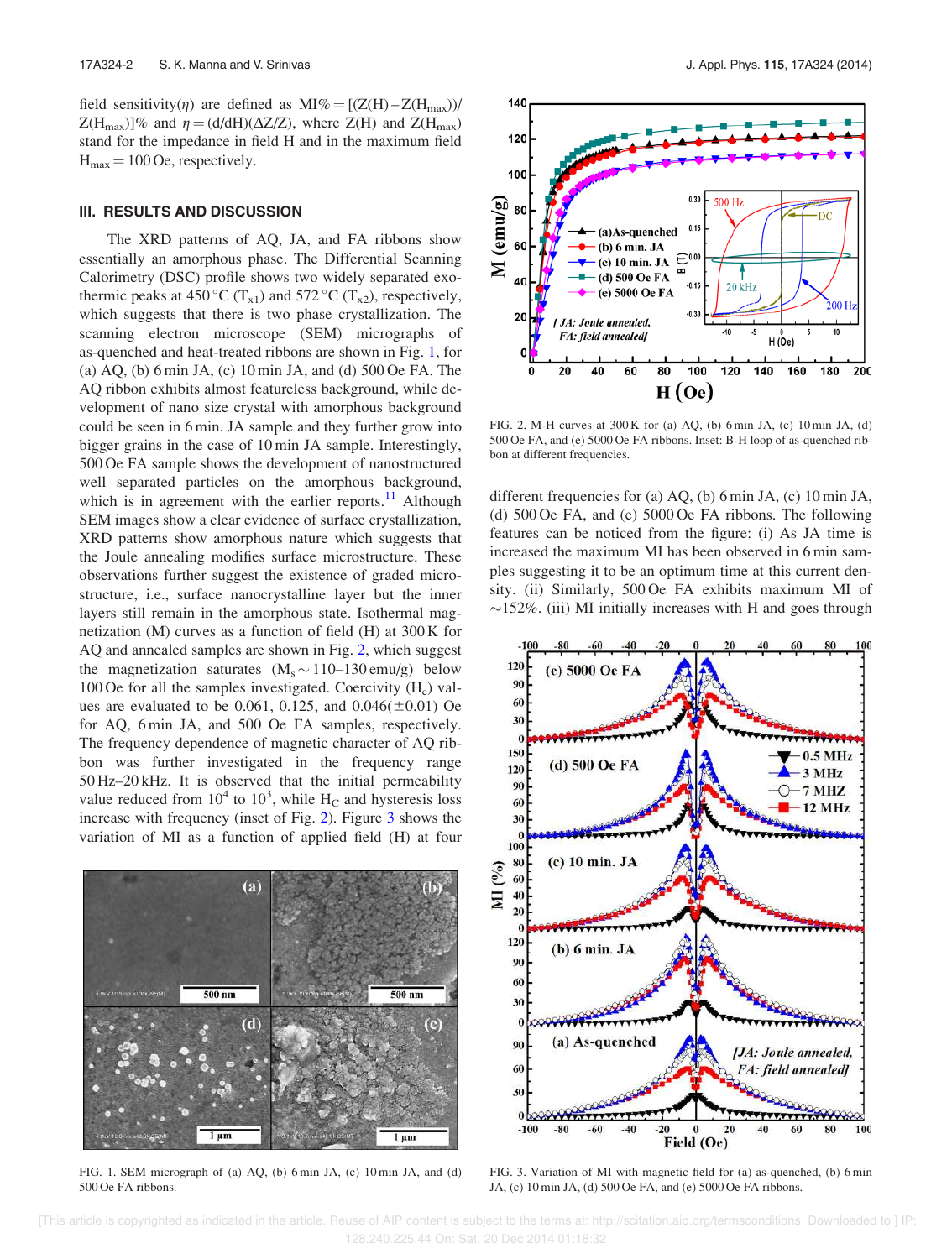field sensitivity( $\eta$ ) are defined as MI% = [(Z(H) – Z(H<sub>max</sub>))/  $Z(H_{\text{max}})]\%$  and  $\eta = (d/dH)(\Delta Z/Z)$ , where  $Z(H)$  and  $Z(H_{\text{max}})$ stand for the impedance in field H and in the maximum field  $H_{\text{max}} = 100$  Oe, respectively.

#### III. RESULTS AND DISCUSSION

The XRD patterns of AQ, JA, and FA ribbons show essentially an amorphous phase. The Differential Scanning Calorimetry (DSC) profile shows two widely separated exothermic peaks at 450 °C ( $T_{x1}$ ) and 572 °C ( $T_{x2}$ ), respectively, which suggests that there is two phase crystallization. The scanning electron microscope (SEM) micrographs of as-quenched and heat-treated ribbons are shown in Fig. 1, for (a) AQ, (b) 6 min JA, (c) 10 min JA, and (d) 500 Oe FA. The AQ ribbon exhibits almost featureless background, while development of nano size crystal with amorphous background could be seen in 6 min. JA sample and they further grow into bigger grains in the case of 10 min JA sample. Interestingly, 500 Oe FA sample shows the development of nanostructured well separated particles on the amorphous background, which is in agreement with the earlier reports. $^{11}$  Although SEM images show a clear evidence of surface crystallization, XRD patterns show amorphous nature which suggests that the Joule annealing modifies surface microstructure. These observations further suggest the existence of graded microstructure, i.e., surface nanocrystalline layer but the inner layers still remain in the amorphous state. Isothermal magnetization (M) curves as a function of field (H) at 300 K for AQ and annealed samples are shown in Fig. 2, which suggest the magnetization saturates  $(M_s \sim 110-130 \text{ emu/g})$  below 100 Oe for all the samples investigated. Coercivity  $(H_c)$  values are evaluated to be 0.061, 0.125, and  $0.046(\pm 0.01)$  Oe for AQ, 6 min JA, and 500 Oe FA samples, respectively. The frequency dependence of magnetic character of AQ ribbon was further investigated in the frequency range 50 Hz–20 kHz. It is observed that the initial permeability value reduced from  $10^4$  to  $10^3$ , while  $H_C$  and hysteresis loss increase with frequency (inset of Fig. 2). Figure 3 shows the variation of MI as a function of applied field (H) at four



FIG. 1. SEM micrograph of (a) AQ, (b) 6 min JA, (c) 10 min JA, and (d) 500 Oe FA ribbons.



FIG. 2. M-H curves at 300 K for (a) AQ, (b) 6 min JA, (c) 10 min JA, (d) 500 Oe FA, and (e) 5000 Oe FA ribbons. Inset: B-H loop of as-quenched ribbon at different frequencies.

different frequencies for (a) AQ, (b) 6 min JA, (c) 10 min JA, (d) 500 Oe FA, and (e) 5000 Oe FA ribbons. The following features can be noticed from the figure: (i) As JA time is increased the maximum MI has been observed in 6 min samples suggesting it to be an optimum time at this current density. (ii) Similarly, 500 Oe FA exhibits maximum MI of  $\sim$ 152%. (iii) MI initially increases with H and goes through



FIG. 3. Variation of MI with magnetic field for (a) as-quenched, (b) 6 min JA, (c) 10 min JA, (d) 500 Oe FA, and (e) 5000 Oe FA ribbons.